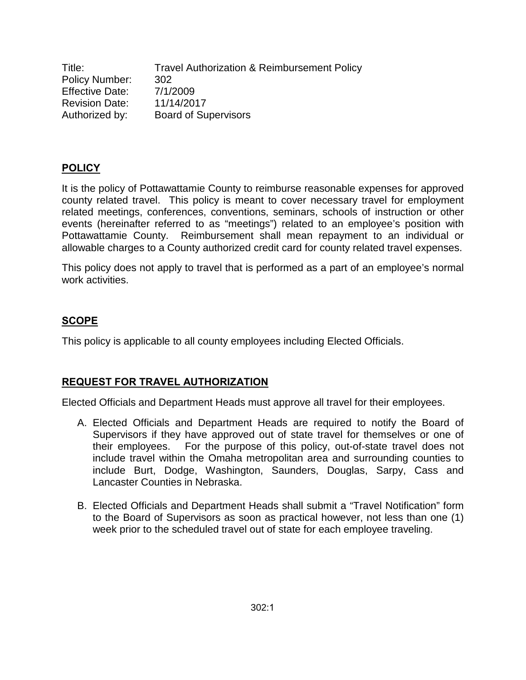Title: Travel Authorization & Reimbursement Policy Policy Number: 302 Effective Date: 7/1/2009 Revision Date: 11/14/2017 Authorized by: Board of Supervisors

### **POLICY**

It is the policy of Pottawattamie County to reimburse reasonable expenses for approved county related travel. This policy is meant to cover necessary travel for employment related meetings, conferences, conventions, seminars, schools of instruction or other events (hereinafter referred to as "meetings") related to an employee's position with Pottawattamie County. Reimbursement shall mean repayment to an individual or allowable charges to a County authorized credit card for county related travel expenses.

This policy does not apply to travel that is performed as a part of an employee's normal work activities.

### **SCOPE**

This policy is applicable to all county employees including Elected Officials.

#### **REQUEST FOR TRAVEL AUTHORIZATION**

Elected Officials and Department Heads must approve all travel for their employees.

- A. Elected Officials and Department Heads are required to notify the Board of Supervisors if they have approved out of state travel for themselves or one of their employees. For the purpose of this policy, out-of-state travel does not include travel within the Omaha metropolitan area and surrounding counties to include Burt, Dodge, Washington, Saunders, Douglas, Sarpy, Cass and Lancaster Counties in Nebraska.
- B. Elected Officials and Department Heads shall submit a "Travel Notification" form to the Board of Supervisors as soon as practical however, not less than one (1) week prior to the scheduled travel out of state for each employee traveling.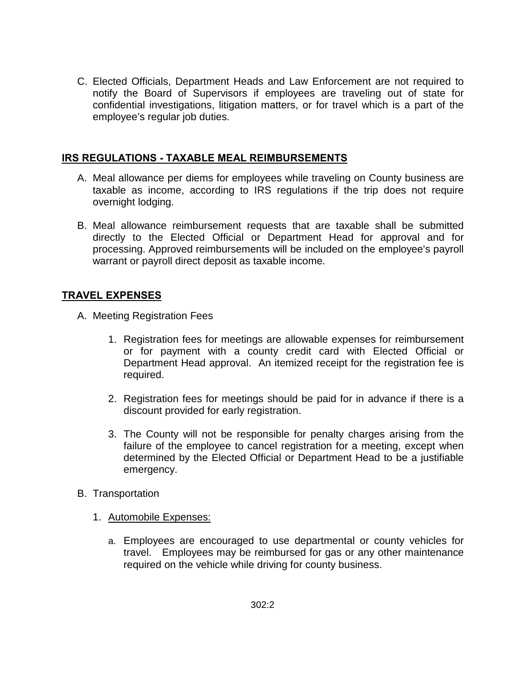C. Elected Officials, Department Heads and Law Enforcement are not required to notify the Board of Supervisors if employees are traveling out of state for confidential investigations, litigation matters, or for travel which is a part of the employee's regular job duties.

### **IRS REGULATIONS - TAXABLE MEAL REIMBURSEMENTS**

- A. Meal allowance per diems for employees while traveling on County business are taxable as income, according to IRS regulations if the trip does not require overnight lodging.
- B. Meal allowance reimbursement requests that are taxable shall be submitted directly to the Elected Official or Department Head for approval and for processing. Approved reimbursements will be included on the employee's payroll warrant or payroll direct deposit as taxable income.

# **TRAVEL EXPENSES**

- A. Meeting Registration Fees
	- 1. Registration fees for meetings are allowable expenses for reimbursement or for payment with a county credit card with Elected Official or Department Head approval. An itemized receipt for the registration fee is required.
	- 2. Registration fees for meetings should be paid for in advance if there is a discount provided for early registration.
	- 3. The County will not be responsible for penalty charges arising from the failure of the employee to cancel registration for a meeting, except when determined by the Elected Official or Department Head to be a justifiable emergency.
- B. Transportation
	- 1. Automobile Expenses:
		- a. Employees are encouraged to use departmental or county vehicles for travel. Employees may be reimbursed for gas or any other maintenance required on the vehicle while driving for county business.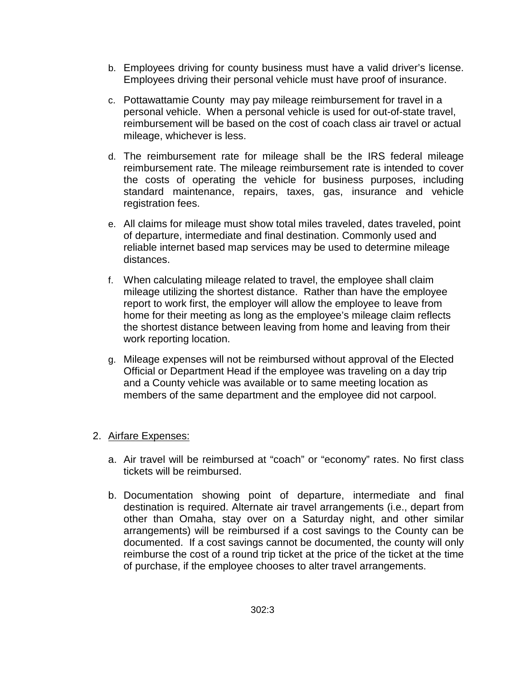- b. Employees driving for county business must have a valid driver's license. Employees driving their personal vehicle must have proof of insurance.
- c. Pottawattamie County may pay mileage reimbursement for travel in a personal vehicle. When a personal vehicle is used for out-of-state travel, reimbursement will be based on the cost of coach class air travel or actual mileage, whichever is less.
- d. The reimbursement rate for mileage shall be the IRS federal mileage reimbursement rate. The mileage reimbursement rate is intended to cover the costs of operating the vehicle for business purposes, including standard maintenance, repairs, taxes, gas, insurance and vehicle registration fees.
- e. All claims for mileage must show total miles traveled, dates traveled, point of departure, intermediate and final destination. Commonly used and reliable internet based map services may be used to determine mileage distances.
- f. When calculating mileage related to travel, the employee shall claim mileage utilizing the shortest distance. Rather than have the employee report to work first, the employer will allow the employee to leave from home for their meeting as long as the employee's mileage claim reflects the shortest distance between leaving from home and leaving from their work reporting location.
- g. Mileage expenses will not be reimbursed without approval of the Elected Official or Department Head if the employee was traveling on a day trip and a County vehicle was available or to same meeting location as members of the same department and the employee did not carpool.

### 2. Airfare Expenses:

- a. Air travel will be reimbursed at "coach" or "economy" rates. No first class tickets will be reimbursed.
- b. Documentation showing point of departure, intermediate and final destination is required. Alternate air travel arrangements (i.e., depart from other than Omaha, stay over on a Saturday night, and other similar arrangements) will be reimbursed if a cost savings to the County can be documented. If a cost savings cannot be documented, the county will only reimburse the cost of a round trip ticket at the price of the ticket at the time of purchase, if the employee chooses to alter travel arrangements.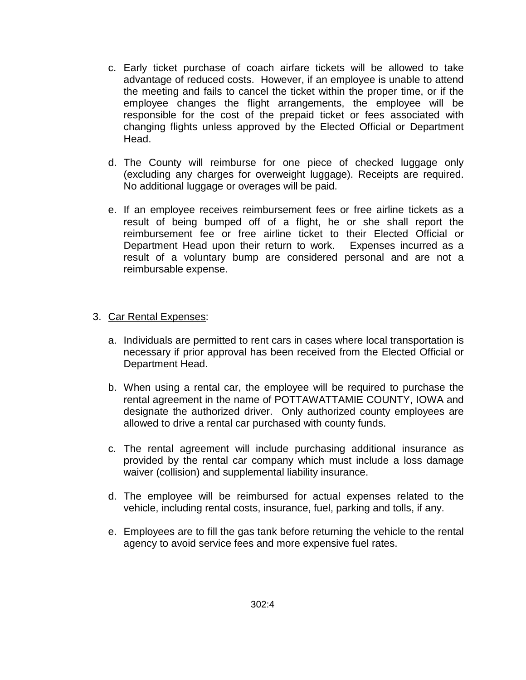- c. Early ticket purchase of coach airfare tickets will be allowed to take advantage of reduced costs. However, if an employee is unable to attend the meeting and fails to cancel the ticket within the proper time, or if the employee changes the flight arrangements, the employee will be responsible for the cost of the prepaid ticket or fees associated with changing flights unless approved by the Elected Official or Department Head.
- d. The County will reimburse for one piece of checked luggage only (excluding any charges for overweight luggage). Receipts are required. No additional luggage or overages will be paid.
- e. If an employee receives reimbursement fees or free airline tickets as a result of being bumped off of a flight, he or she shall report the reimbursement fee or free airline ticket to their Elected Official or Department Head upon their return to work. Expenses incurred as a result of a voluntary bump are considered personal and are not a reimbursable expense.

#### 3. Car Rental Expenses:

- a. Individuals are permitted to rent cars in cases where local transportation is necessary if prior approval has been received from the Elected Official or Department Head.
- b. When using a rental car, the employee will be required to purchase the rental agreement in the name of POTTAWATTAMIE COUNTY, IOWA and designate the authorized driver. Only authorized county employees are allowed to drive a rental car purchased with county funds.
- c. The rental agreement will include purchasing additional insurance as provided by the rental car company which must include a loss damage waiver (collision) and supplemental liability insurance.
- d. The employee will be reimbursed for actual expenses related to the vehicle, including rental costs, insurance, fuel, parking and tolls, if any.
- e. Employees are to fill the gas tank before returning the vehicle to the rental agency to avoid service fees and more expensive fuel rates.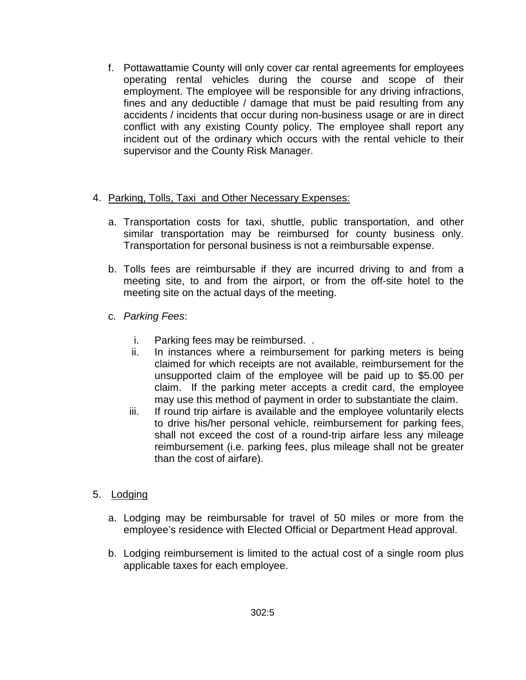f. Pottawattamie County will only cover car rental agreements for employees operating rental vehicles during the course and scope of their employment. The employee will be responsible for any driving infractions, fines and any deductible / damage that must be paid resulting from any accidents / incidents that occur during non-business usage or are in direct conflict with any existing County policy. The employee shall report any incident out of the ordinary which occurs with the rental vehicle to their supervisor and the County Risk Manager.

# 4. Parking, Tolls, Taxi and Other Necessary Expenses:

- a. Transportation costs for taxi, shuttle, public transportation, and other similar transportation may be reimbursed for county business only. Transportation for personal business is not a reimbursable expense.
- b. Tolls fees are reimbursable if they are incurred driving to and from a meeting site, to and from the airport, or from the off-site hotel to the meeting site on the actual days of the meeting.
- c. *Parking Fees*:
	- i. Parking fees may be reimbursed. .
	- ii. In instances where a reimbursement for parking meters is being claimed for which receipts are not available, reimbursement for the unsupported claim of the employee will be paid up to \$5.00 per claim. If the parking meter accepts a credit card, the employee may use this method of payment in order to substantiate the claim.
	- iii. If round trip airfare is available and the employee voluntarily elects to drive his/her personal vehicle, reimbursement for parking fees, shall not exceed the cost of a round-trip airfare less any mileage reimbursement (i.e. parking fees, plus mileage shall not be greater than the cost of airfare).
- 5. Lodging
	- a. Lodging may be reimbursable for travel of 50 miles or more from the employee's residence with Elected Official or Department Head approval.
	- b. Lodging reimbursement is limited to the actual cost of a single room plus applicable taxes for each employee.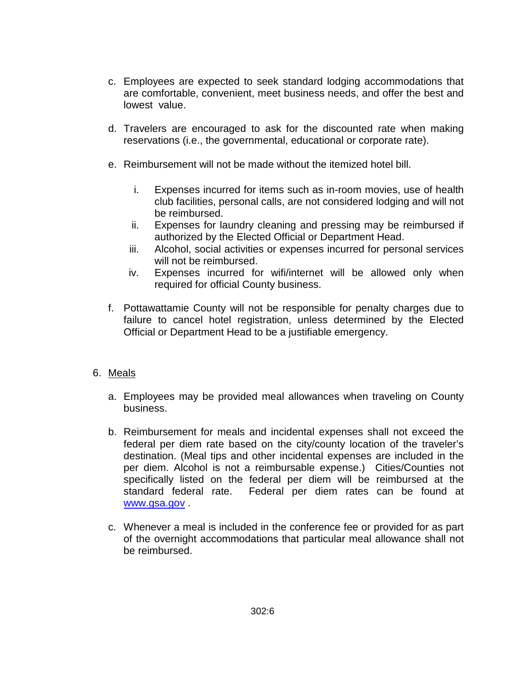- c. Employees are expected to seek standard lodging accommodations that are comfortable, convenient, meet business needs, and offer the best and lowest value.
- d. Travelers are encouraged to ask for the discounted rate when making reservations (i.e., the governmental, educational or corporate rate).
- e. Reimbursement will not be made without the itemized hotel bill.
	- i. Expenses incurred for items such as in-room movies, use of health club facilities, personal calls, are not considered lodging and will not be reimbursed.
	- ii. Expenses for laundry cleaning and pressing may be reimbursed if authorized by the Elected Official or Department Head.
	- iii. Alcohol, social activities or expenses incurred for personal services will not be reimbursed.
	- iv. Expenses incurred for wifi/internet will be allowed only when required for official County business.
- f. Pottawattamie County will not be responsible for penalty charges due to failure to cancel hotel registration, unless determined by the Elected Official or Department Head to be a justifiable emergency.

### 6. Meals

- a. Employees may be provided meal allowances when traveling on County business.
- b. Reimbursement for meals and incidental expenses shall not exceed the federal per diem rate based on the city/county location of the traveler's destination. (Meal tips and other incidental expenses are included in the per diem. Alcohol is not a reimbursable expense.) Cities/Counties not specifically listed on the federal per diem will be reimbursed at the standard federal rate. Federal per diem rates can be found at [www.gsa.gov](http://www.gsa.gov/) .
- c. Whenever a meal is included in the conference fee or provided for as part of the overnight accommodations that particular meal allowance shall not be reimbursed.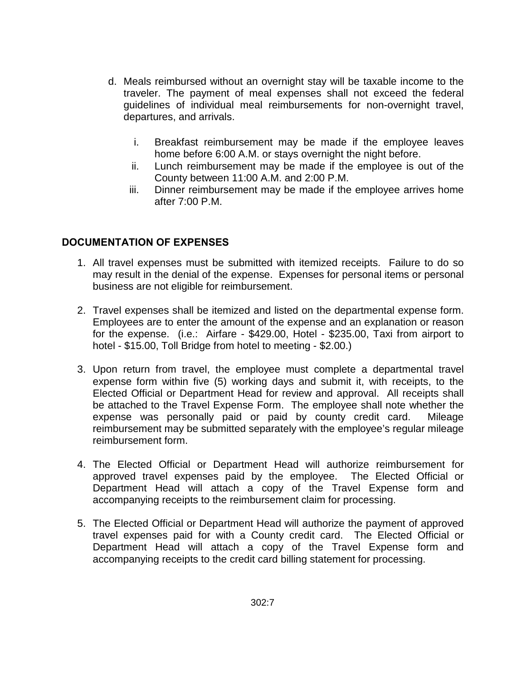- d. Meals reimbursed without an overnight stay will be taxable income to the traveler. The payment of meal expenses shall not exceed the federal guidelines of individual meal reimbursements for non-overnight travel, departures, and arrivals.
	- i. Breakfast reimbursement may be made if the employee leaves home before 6:00 A.M. or stays overnight the night before.
	- ii. Lunch reimbursement may be made if the employee is out of the County between 11:00 A.M. and 2:00 P.M.
	- iii. Dinner reimbursement may be made if the employee arrives home after 7:00 P.M.

# **DOCUMENTATION OF EXPENSES**

- 1. All travel expenses must be submitted with itemized receipts. Failure to do so may result in the denial of the expense. Expenses for personal items or personal business are not eligible for reimbursement.
- 2. Travel expenses shall be itemized and listed on the departmental expense form. Employees are to enter the amount of the expense and an explanation or reason for the expense. (i.e.: Airfare - \$429.00, Hotel - \$235.00, Taxi from airport to hotel - \$15.00, Toll Bridge from hotel to meeting - \$2.00.)
- 3. Upon return from travel, the employee must complete a departmental travel expense form within five (5) working days and submit it, with receipts, to the Elected Official or Department Head for review and approval. All receipts shall be attached to the Travel Expense Form. The employee shall note whether the expense was personally paid or paid by county credit card. Mileage reimbursement may be submitted separately with the employee's regular mileage reimbursement form.
- 4. The Elected Official or Department Head will authorize reimbursement for approved travel expenses paid by the employee. The Elected Official or Department Head will attach a copy of the Travel Expense form and accompanying receipts to the reimbursement claim for processing.
- 5. The Elected Official or Department Head will authorize the payment of approved travel expenses paid for with a County credit card. The Elected Official or Department Head will attach a copy of the Travel Expense form and accompanying receipts to the credit card billing statement for processing.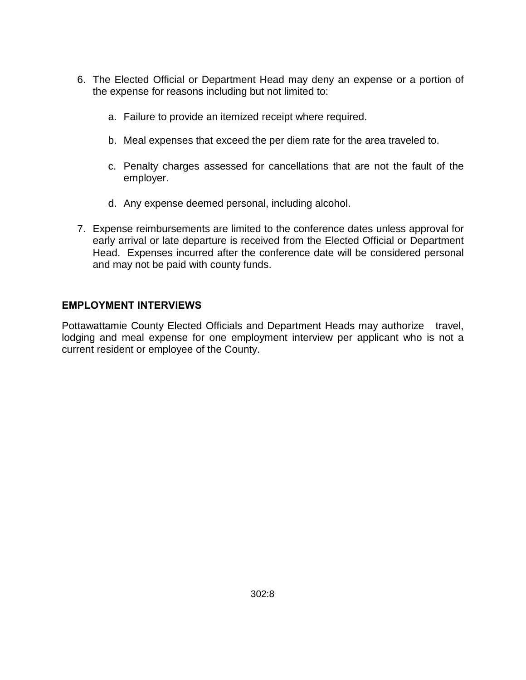- 6. The Elected Official or Department Head may deny an expense or a portion of the expense for reasons including but not limited to:
	- a. Failure to provide an itemized receipt where required.
	- b. Meal expenses that exceed the per diem rate for the area traveled to.
	- c. Penalty charges assessed for cancellations that are not the fault of the employer.
	- d. Any expense deemed personal, including alcohol.
- 7. Expense reimbursements are limited to the conference dates unless approval for early arrival or late departure is received from the Elected Official or Department Head. Expenses incurred after the conference date will be considered personal and may not be paid with county funds.

#### **EMPLOYMENT INTERVIEWS**

Pottawattamie County Elected Officials and Department Heads may authorize travel, lodging and meal expense for one employment interview per applicant who is not a current resident or employee of the County.